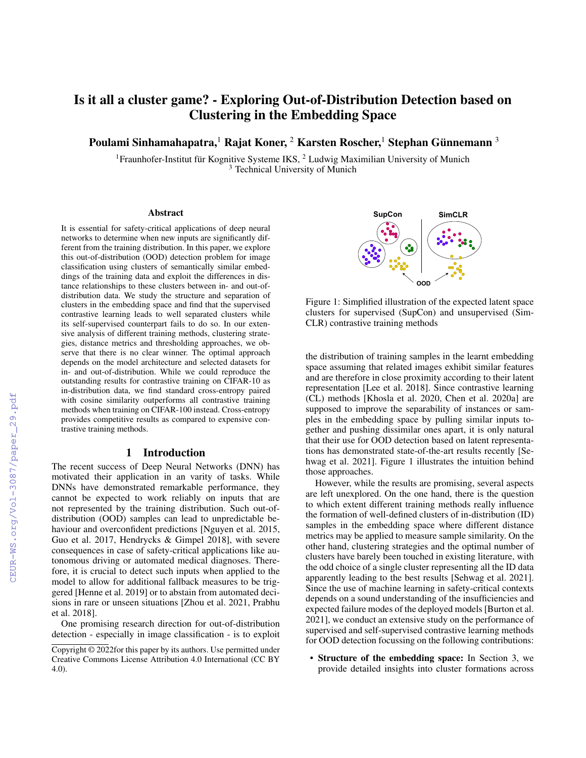# Is it all a cluster game? - Exploring Out-of-Distribution Detection based on Clustering in the Embedding Space

Poulami Sinhamahapatra, $^1$  Rajat Koner,  $^2$  Karsten Roscher, $^1$  Stephan Günnemann  $^3$ 

<sup>1</sup> Fraunhofer-Institut für Kognitive Systeme IKS, <sup>2</sup> Ludwig Maximilian University of Munich <sup>3</sup> Technical University of Munich

#### Abstract

It is essential for safety-critical applications of deep neural networks to determine when new inputs are significantly different from the training distribution. In this paper, we explore this out-of-distribution (OOD) detection problem for image classification using clusters of semantically similar embeddings of the training data and exploit the differences in distance relationships to these clusters between in- and out-ofdistribution data. We study the structure and separation of clusters in the embedding space and find that the supervised contrastive learning leads to well separated clusters while its self-supervised counterpart fails to do so. In our extensive analysis of different training methods, clustering strategies, distance metrics and thresholding approaches, we observe that there is no clear winner. The optimal approach depends on the model architecture and selected datasets for in- and out-of-distribution. While we could reproduce the outstanding results for contrastive training on CIFAR-10 as in-distribution data, we find standard cross-entropy paired with cosine similarity outperforms all contrastive training methods when training on CIFAR-100 instead. Cross-entropy provides competitive results as compared to expensive contrastive training methods.

### 1 Introduction

The recent success of Deep Neural Networks (DNN) has motivated their application in an varity of tasks. While DNNs have demonstrated remarkable performance, they cannot be expected to work reliably on inputs that are not represented by the training distribution. Such out-ofdistribution (OOD) samples can lead to unpredictable behaviour and overconfident predictions [Nguyen et al. 2015, Guo et al. 2017, Hendrycks & Gimpel 2018], with severe consequences in case of safety-critical applications like autonomous driving or automated medical diagnoses. Therefore, it is crucial to detect such inputs when applied to the model to allow for additional fallback measures to be triggered [Henne et al. 2019] or to abstain from automated decisions in rare or unseen situations [Zhou et al. 2021, Prabhu et al. 2018].

One promising research direction for out-of-distribution detection - especially in image classification - is to exploit



Figure 1: Simplified illustration of the expected latent space clusters for supervised (SupCon) and unsupervised (Sim-CLR) contrastive training methods

the distribution of training samples in the learnt embedding space assuming that related images exhibit similar features and are therefore in close proximity according to their latent representation [Lee et al. 2018]. Since contrastive learning (CL) methods [Khosla et al. 2020, Chen et al. 2020a] are supposed to improve the separability of instances or samples in the embedding space by pulling similar inputs together and pushing dissimilar ones apart, it is only natural that their use for OOD detection based on latent representations has demonstrated state-of-the-art results recently [Sehwag et al. 2021]. Figure 1 illustrates the intuition behind those approaches.

However, while the results are promising, several aspects are left unexplored. On the one hand, there is the question to which extent different training methods really influence the formation of well-defined clusters of in-distribution (ID) samples in the embedding space where different distance metrics may be applied to measure sample similarity. On the other hand, clustering strategies and the optimal number of clusters have barely been touched in existing literature, with the odd choice of a single cluster representing all the ID data apparently leading to the best results [Sehwag et al. 2021]. Since the use of machine learning in safety-critical contexts depends on a sound understanding of the insufficiencies and expected failure modes of the deployed models [Burton et al. 2021], we conduct an extensive study on the performance of supervised and self-supervised contrastive learning methods for OOD detection focussing on the following contributions:

• Structure of the embedding space: In Section 3, we provide detailed insights into cluster formations across

Copyright © 2022for this paper by its authors. Use permitted under Creative Commons License Attribution 4.0 International (CC BY 4.0).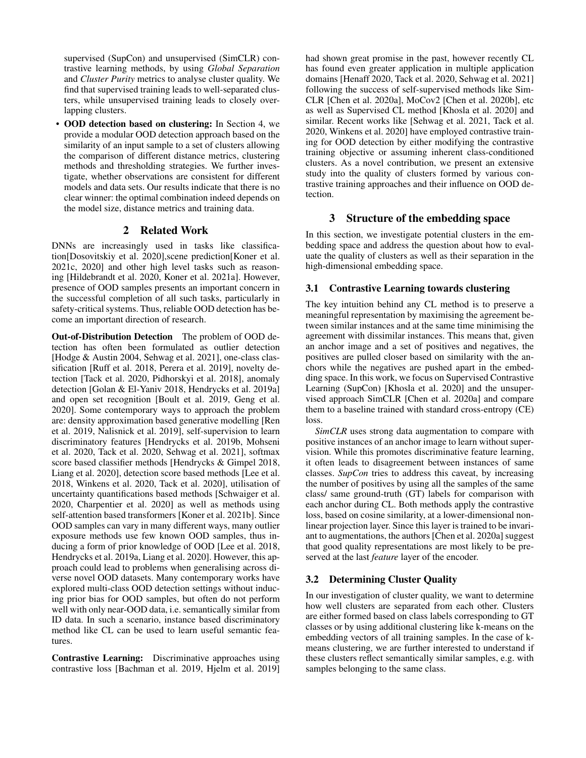supervised (SupCon) and unsupervised (SimCLR) contrastive learning methods, by using *Global Separation* and *Cluster Purity* metrics to analyse cluster quality. We find that supervised training leads to well-separated clusters, while unsupervised training leads to closely overlapping clusters.

• OOD detection based on clustering: In Section 4, we provide a modular OOD detection approach based on the similarity of an input sample to a set of clusters allowing the comparison of different distance metrics, clustering methods and thresholding strategies. We further investigate, whether observations are consistent for different models and data sets. Our results indicate that there is no clear winner: the optimal combination indeed depends on the model size, distance metrics and training data.

# 2 Related Work

DNNs are increasingly used in tasks like classification[Dosovitskiy et al. 2020],scene prediction[Koner et al. 2021c, 2020] and other high level tasks such as reasoning [Hildebrandt et al. 2020, Koner et al. 2021a]. However, presence of OOD samples presents an important concern in the successful completion of all such tasks, particularly in safety-critical systems. Thus, reliable OOD detection has become an important direction of research.

Out-of-Distribution Detection The problem of OOD detection has often been formulated as outlier detection [Hodge & Austin 2004, Sehwag et al. 2021], one-class classification [Ruff et al. 2018, Perera et al. 2019], novelty detection [Tack et al. 2020, Pidhorskyi et al. 2018], anomaly detection [Golan & El-Yaniv 2018, Hendrycks et al. 2019a] and open set recognition [Boult et al. 2019, Geng et al. 2020]. Some contemporary ways to approach the problem are: density approximation based generative modelling [Ren et al. 2019, Nalisnick et al. 2019], self-supervision to learn discriminatory features [Hendrycks et al. 2019b, Mohseni et al. 2020, Tack et al. 2020, Sehwag et al. 2021], softmax score based classifier methods [Hendrycks & Gimpel 2018, Liang et al. 2020], detection score based methods [Lee et al. 2018, Winkens et al. 2020, Tack et al. 2020], utilisation of uncertainty quantifications based methods [Schwaiger et al. 2020, Charpentier et al. 2020] as well as methods using self-attention based transformers [Koner et al. 2021b]. Since OOD samples can vary in many different ways, many outlier exposure methods use few known OOD samples, thus inducing a form of prior knowledge of OOD [Lee et al. 2018, Hendrycks et al. 2019a, Liang et al. 2020]. However, this approach could lead to problems when generalising across diverse novel OOD datasets. Many contemporary works have explored multi-class OOD detection settings without inducing prior bias for OOD samples, but often do not perform well with only near-OOD data, i.e. semantically similar from ID data. In such a scenario, instance based discriminatory method like CL can be used to learn useful semantic features.

Contrastive Learning: Discriminative approaches using contrastive loss [Bachman et al. 2019, Hjelm et al. 2019]

had shown great promise in the past, however recently CL has found even greater application in multiple application domains [Henaff 2020, Tack et al. 2020, Sehwag et al. 2021] following the success of self-supervised methods like Sim-CLR [Chen et al. 2020a], MoCov2 [Chen et al. 2020b], etc as well as Supervised CL method [Khosla et al. 2020] and similar. Recent works like [Sehwag et al. 2021, Tack et al. 2020, Winkens et al. 2020] have employed contrastive training for OOD detection by either modifying the contrastive training objective or assuming inherent class-conditioned clusters. As a novel contribution, we present an extensive study into the quality of clusters formed by various contrastive training approaches and their influence on OOD detection.

### 3 Structure of the embedding space

In this section, we investigate potential clusters in the embedding space and address the question about how to evaluate the quality of clusters as well as their separation in the high-dimensional embedding space.

### 3.1 Contrastive Learning towards clustering

The key intuition behind any CL method is to preserve a meaningful representation by maximising the agreement between similar instances and at the same time minimising the agreement with dissimilar instances. This means that, given an anchor image and a set of positives and negatives, the positives are pulled closer based on similarity with the anchors while the negatives are pushed apart in the embedding space. In this work, we focus on Supervised Contrastive Learning (SupCon) [Khosla et al. 2020] and the unsupervised approach SimCLR [Chen et al. 2020a] and compare them to a baseline trained with standard cross-entropy (CE) loss.

*SimCLR* uses strong data augmentation to compare with positive instances of an anchor image to learn without supervision. While this promotes discriminative feature learning, it often leads to disagreement between instances of same classes. *SupCon* tries to address this caveat, by increasing the number of positives by using all the samples of the same class/ same ground-truth (GT) labels for comparison with each anchor during CL. Both methods apply the contrastive loss, based on cosine similarity, at a lower-dimensional nonlinear projection layer. Since this layer is trained to be invariant to augmentations, the authors [Chen et al. 2020a] suggest that good quality representations are most likely to be preserved at the last *feature* layer of the encoder.

### 3.2 Determining Cluster Quality

In our investigation of cluster quality, we want to determine how well clusters are separated from each other. Clusters are either formed based on class labels corresponding to GT classes or by using additional clustering like k-means on the embedding vectors of all training samples. In the case of kmeans clustering, we are further interested to understand if these clusters reflect semantically similar samples, e.g. with samples belonging to the same class.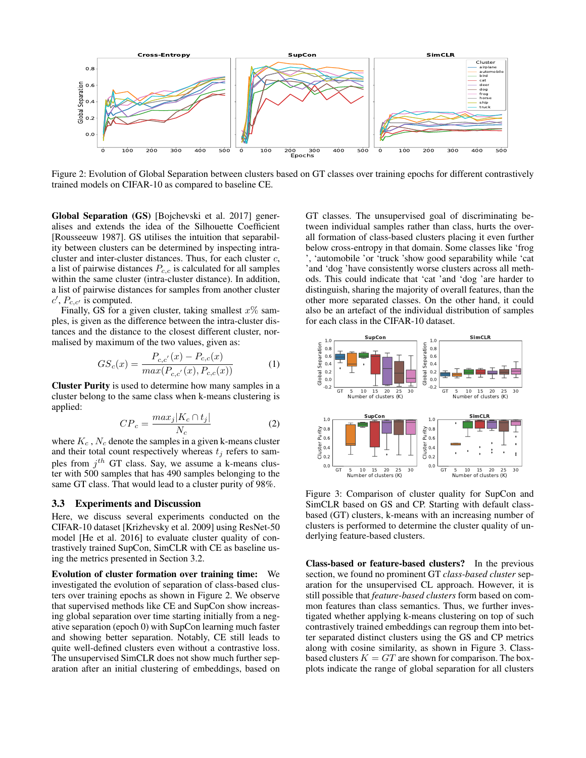

Figure 2: Evolution of Global Separation between clusters based on GT classes over training epochs for different contrastively trained models on CIFAR-10 as compared to baseline CE.

Global Separation (GS) [Bojchevski et al. 2017] generalises and extends the idea of the Silhouette Coefficient [Rousseeuw 1987]. GS utilises the intuition that separability between clusters can be determined by inspecting intracluster and inter-cluster distances. Thus, for each cluster c, a list of pairwise distances  $P_{c,c}$  is calculated for all samples within the same cluster (intra-cluster distance). In addition, a list of pairwise distances for samples from another cluster  $c'$ ,  $P_{c,c'}$  is computed.

Finally, GS for a given cluster, taking smallest  $x\%$  samples, is given as the difference between the intra-cluster distances and the distance to the closest different cluster, normalised by maximum of the two values, given as:

$$
GS_c(x) = \frac{P_{c,c'}(x) - P_{c,c}(x)}{max(P_{c,c'}(x), P_{c,c}(x))}
$$
(1)

Cluster Purity is used to determine how many samples in a cluster belong to the same class when k-means clustering is applied:

$$
CP_c = \frac{max_j|K_c \cap t_j|}{N_c} \tag{2}
$$

where  $K_c$ ,  $N_c$  denote the samples in a given k-means cluster and their total count respectively whereas  $t_i$  refers to samples from  $j^{th}$  GT class. Say, we assume a k-means cluster with 500 samples that has 490 samples belonging to the same GT class. That would lead to a cluster purity of 98%.

#### 3.3 Experiments and Discussion

Here, we discuss several experiments conducted on the CIFAR-10 dataset [Krizhevsky et al. 2009] using ResNet-50 model [He et al. 2016] to evaluate cluster quality of contrastively trained SupCon, SimCLR with CE as baseline using the metrics presented in Section 3.2.

Evolution of cluster formation over training time: We investigated the evolution of separation of class-based clusters over training epochs as shown in Figure 2. We observe that supervised methods like CE and SupCon show increasing global separation over time starting initially from a negative separation (epoch 0) with SupCon learning much faster and showing better separation. Notably, CE still leads to quite well-defined clusters even without a contrastive loss. The unsupervised SimCLR does not show much further separation after an initial clustering of embeddings, based on

GT classes. The unsupervised goal of discriminating between individual samples rather than class, hurts the overall formation of class-based clusters placing it even further below cross-entropy in that domain. Some classes like 'frog ', 'automobile 'or 'truck 'show good separability while 'cat 'and 'dog 'have consistently worse clusters across all methods. This could indicate that 'cat 'and 'dog 'are harder to distinguish, sharing the majority of overall features, than the other more separated classes. On the other hand, it could also be an artefact of the individual distribution of samples for each class in the CIFAR-10 dataset.



Figure 3: Comparison of cluster quality for SupCon and SimCLR based on GS and CP. Starting with default classbased (GT) clusters, k-means with an increasing number of clusters is performed to determine the cluster quality of underlying feature-based clusters.

Class-based or feature-based clusters? In the previous section, we found no prominent GT *class-based cluster* separation for the unsupervised CL approach. However, it is still possible that *feature-based clusters* form based on common features than class semantics. Thus, we further investigated whether applying k-means clustering on top of such contrastively trained embeddings can regroup them into better separated distinct clusters using the GS and CP metrics along with cosine similarity, as shown in Figure 3. Classbased clusters  $K = GT$  are shown for comparison. The boxplots indicate the range of global separation for all clusters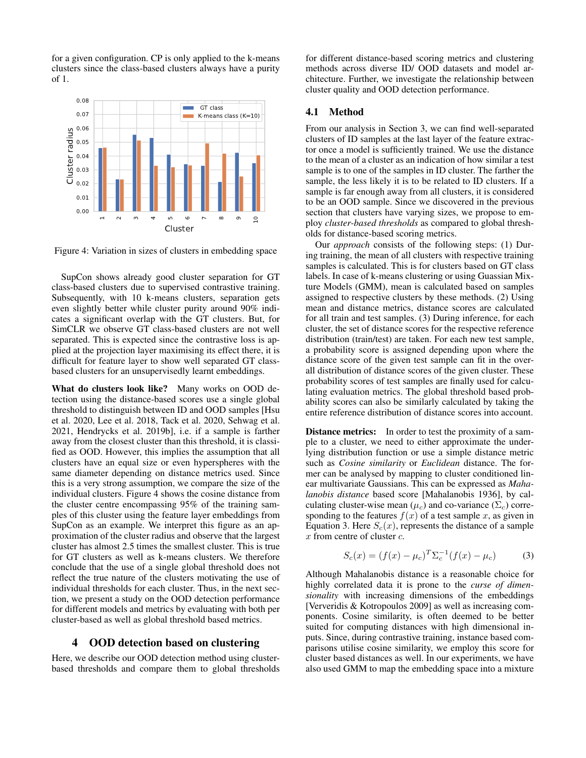for a given configuration. CP is only applied to the k-means clusters since the class-based clusters always have a purity of 1.



Figure 4: Variation in sizes of clusters in embedding space

SupCon shows already good cluster separation for GT class-based clusters due to supervised contrastive training. Subsequently, with 10 k-means clusters, separation gets even slightly better while cluster purity around 90% indicates a significant overlap with the GT clusters. But, for SimCLR we observe GT class-based clusters are not well separated. This is expected since the contrastive loss is applied at the projection layer maximising its effect there, it is difficult for feature layer to show well separated GT classbased clusters for an unsupervisedly learnt embeddings.

What do clusters look like? Many works on OOD detection using the distance-based scores use a single global threshold to distinguish between ID and OOD samples [Hsu et al. 2020, Lee et al. 2018, Tack et al. 2020, Sehwag et al. 2021, Hendrycks et al. 2019b], i.e. if a sample is farther away from the closest cluster than this threshold, it is classified as OOD. However, this implies the assumption that all clusters have an equal size or even hyperspheres with the same diameter depending on distance metrics used. Since this is a very strong assumption, we compare the size of the individual clusters. Figure 4 shows the cosine distance from the cluster centre encompassing 95% of the training samples of this cluster using the feature layer embeddings from SupCon as an example. We interpret this figure as an approximation of the cluster radius and observe that the largest cluster has almost 2.5 times the smallest cluster. This is true for GT clusters as well as k-means clusters. We therefore conclude that the use of a single global threshold does not reflect the true nature of the clusters motivating the use of individual thresholds for each cluster. Thus, in the next section, we present a study on the OOD detection performance for different models and metrics by evaluating with both per cluster-based as well as global threshold based metrics.

#### 4 OOD detection based on clustering

Here, we describe our OOD detection method using clusterbased thresholds and compare them to global thresholds

for different distance-based scoring metrics and clustering methods across diverse ID/ OOD datasets and model architecture. Further, we investigate the relationship between cluster quality and OOD detection performance.

#### 4.1 Method

From our analysis in Section 3, we can find well-separated clusters of ID samples at the last layer of the feature extractor once a model is sufficiently trained. We use the distance to the mean of a cluster as an indication of how similar a test sample is to one of the samples in ID cluster. The farther the sample, the less likely it is to be related to ID clusters. If a sample is far enough away from all clusters, it is considered to be an OOD sample. Since we discovered in the previous section that clusters have varying sizes, we propose to employ *cluster-based thresholds* as compared to global thresholds for distance-based scoring metrics.

Our *approach* consists of the following steps: (1) During training, the mean of all clusters with respective training samples is calculated. This is for clusters based on GT class labels. In case of k-means clustering or using Guassian Mixture Models (GMM), mean is calculated based on samples assigned to respective clusters by these methods. (2) Using mean and distance metrics, distance scores are calculated for all train and test samples. (3) During inference, for each cluster, the set of distance scores for the respective reference distribution (train/test) are taken. For each new test sample, a probability score is assigned depending upon where the distance score of the given test sample can fit in the overall distribution of distance scores of the given cluster. These probability scores of test samples are finally used for calculating evaluation metrics. The global threshold based probability scores can also be similarly calculated by taking the entire reference distribution of distance scores into account.

**Distance metrics:** In order to test the proximity of a sample to a cluster, we need to either approximate the underlying distribution function or use a simple distance metric such as *Cosine similarity* or *Euclidean* distance. The former can be analysed by mapping to cluster conditioned linear multivariate Gaussians. This can be expressed as *Mahalanobis distance* based score [Mahalanobis 1936], by calculating cluster-wise mean ( $\mu_c$ ) and co-variance ( $\Sigma_c$ ) corresponding to the features  $f(x)$  of a test sample x, as given in Equation 3. Here  $S_c(x)$ , represents the distance of a sample x from centre of cluster c.

$$
S_c(x) = (f(x) - \mu_c)^T \Sigma_c^{-1} (f(x) - \mu_c)
$$
 (3)

Although Mahalanobis distance is a reasonable choice for highly correlated data it is prone to the *curse of dimensionality* with increasing dimensions of the embeddings [Ververidis & Kotropoulos 2009] as well as increasing components. Cosine similarity, is often deemed to be better suited for computing distances with high dimensional inputs. Since, during contrastive training, instance based comparisons utilise cosine similarity, we employ this score for cluster based distances as well. In our experiments, we have also used GMM to map the embedding space into a mixture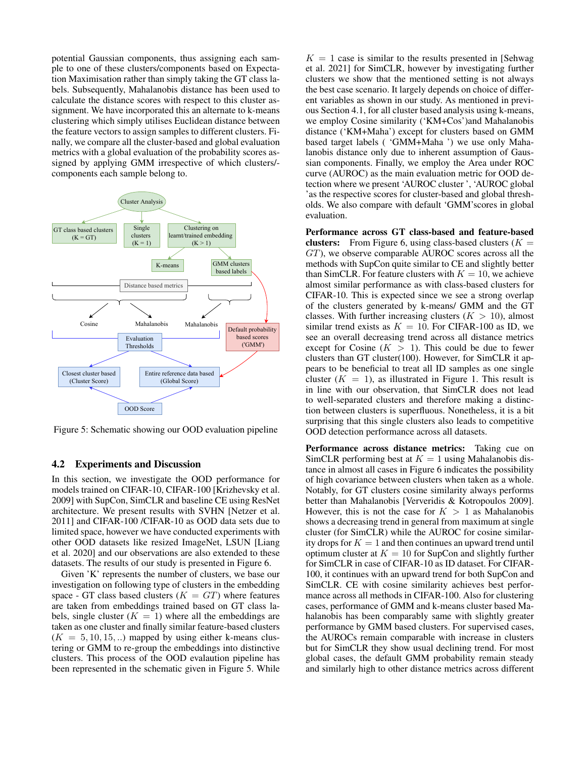potential Gaussian components, thus assigning each sample to one of these clusters/components based on Expectation Maximisation rather than simply taking the GT class labels. Subsequently, Mahalanobis distance has been used to calculate the distance scores with respect to this cluster assignment. We have incorporated this an alternate to k-means clustering which simply utilises Euclidean distance between the feature vectors to assign samples to different clusters. Finally, we compare all the cluster-based and global evaluation metrics with a global evaluation of the probability scores assigned by applying GMM irrespective of which clusters/ components each sample belong to.



Figure 5: Schematic showing our OOD evaluation pipeline

#### 4.2 Experiments and Discussion

In this section, we investigate the OOD performance for models trained on CIFAR-10, CIFAR-100 [Krizhevsky et al. 2009] with SupCon, SimCLR and baseline CE using ResNet architecture. We present results with SVHN [Netzer et al. 2011] and CIFAR-100 /CIFAR-10 as OOD data sets due to limited space, however we have conducted experiments with other OOD datasets like resized ImageNet, LSUN [Liang et al. 2020] and our observations are also extended to these datasets. The results of our study is presented in Figure 6.

Given 'K' represents the number of clusters, we base our investigation on following type of clusters in the embedding space - GT class based clusters ( $K = GT$ ) where features are taken from embeddings trained based on GT class labels, single cluster  $(K = 1)$  where all the embeddings are taken as one cluster and finally similar feature-based clusters  $(K = 5, 10, 15, ...)$  mapped by using either k-means clustering or GMM to re-group the embeddings into distinctive clusters. This process of the OOD evalaution pipeline has been represented in the schematic given in Figure 5. While

 $K = 1$  case is similar to the results presented in [Sehwag] et al. 2021] for SimCLR, however by investigating further clusters we show that the mentioned setting is not always the best case scenario. It largely depends on choice of different variables as shown in our study. As mentioned in previous Section 4.1, for all cluster based analysis using k-means, we employ Cosine similarity ('KM+Cos')and Mahalanobis distance ('KM+Maha') except for clusters based on GMM based target labels ( 'GMM+Maha ') we use only Mahalanobis distance only due to inherent assumption of Gaussian components. Finally, we employ the Area under ROC curve (AUROC) as the main evaluation metric for OOD detection where we present 'AUROC cluster ', 'AUROC global 'as the respective scores for cluster-based and global thresholds. We also compare with default 'GMM'scores in global evaluation.

Performance across GT class-based and feature-based clusters: From Figure 6, using class-based clusters  $(K =$ GT), we observe comparable AUROC scores across all the methods with SupCon quite similar to CE and slightly better than SimCLR. For feature clusters with  $K = 10$ , we achieve almost similar performance as with class-based clusters for CIFAR-10. This is expected since we see a strong overlap of the clusters generated by k-means/ GMM and the GT classes. With further increasing clusters  $(K > 10)$ , almost similar trend exists as  $K = 10$ . For CIFAR-100 as ID, we see an overall decreasing trend across all distance metrics except for Cosine  $(K > 1)$ . This could be due to fewer clusters than GT cluster(100). However, for SimCLR it appears to be beneficial to treat all ID samples as one single cluster  $(K = 1)$ , as illustrated in Figure 1. This result is in line with our observation, that SimCLR does not lead to well-separated clusters and therefore making a distinction between clusters is superfluous. Nonetheless, it is a bit surprising that this single clusters also leads to competitive OOD detection performance across all datasets.

Performance across distance metrics: Taking cue on SimCLR performing best at  $K = 1$  using Mahalanobis distance in almost all cases in Figure 6 indicates the possibility of high covariance between clusters when taken as a whole. Notably, for GT clusters cosine similarity always performs better than Mahalanobis [Ververidis & Kotropoulos 2009]. However, this is not the case for  $K > 1$  as Mahalanobis shows a decreasing trend in general from maximum at single cluster (for SimCLR) while the AUROC for cosine similarity drops for  $K = 1$  and then continues an upward trend until optimum cluster at  $K = 10$  for SupCon and slightly further for SimCLR in case of CIFAR-10 as ID dataset. For CIFAR-100, it continues with an upward trend for both SupCon and SimCLR. CE with cosine similarity achieves best performance across all methods in CIFAR-100. Also for clustering cases, performance of GMM and k-means cluster based Mahalanobis has been comparably same with slightly greater performance by GMM based clusters. For supervised cases, the AUROCs remain comparable with increase in clusters but for SimCLR they show usual declining trend. For most global cases, the default GMM probability remain steady and similarly high to other distance metrics across different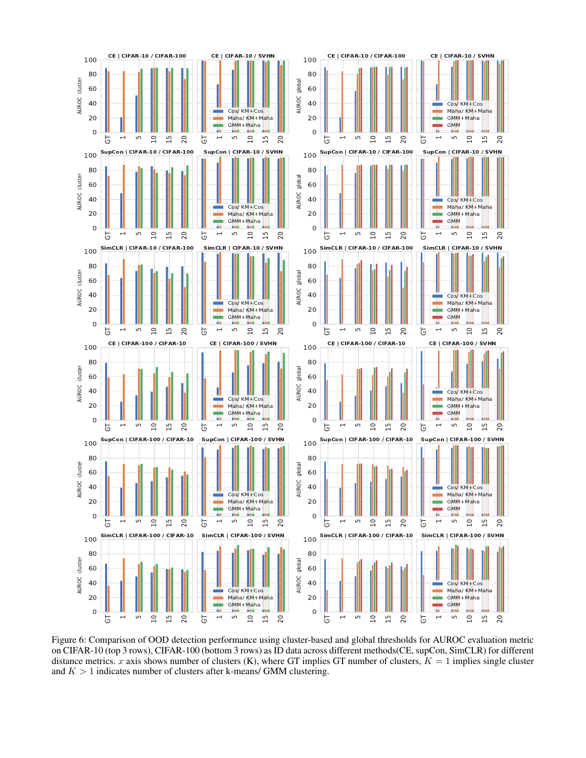

Figure 6: Comparison of OOD detection performance using cluster-based and global thresholds for AUROC evaluation metric on CIFAR-10 (top 3 rows), CIFAR-100 (bottom 3 rows) as ID data across different methods(CE, supCon, SimCLR) for different distance metrics. x axis shows number of clusters  $(K)$ , where GT implies GT number of clusters,  $K = 1$  implies single cluster and  $K > 1$  indicates number of clusters after k-means/ GMM clustering.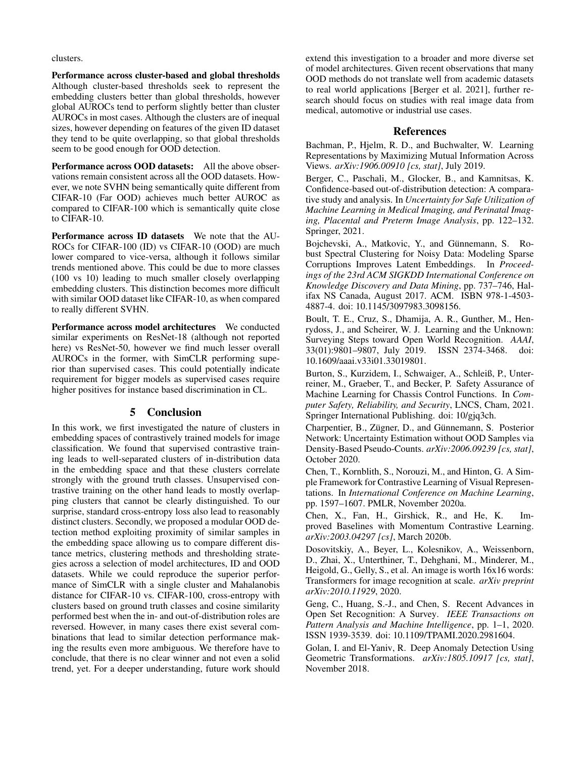clusters.

Performance across cluster-based and global thresholds Although cluster-based thresholds seek to represent the embedding clusters better than global thresholds, however global AUROCs tend to perform slightly better than cluster AUROCs in most cases. Although the clusters are of inequal sizes, however depending on features of the given ID dataset they tend to be quite overlapping, so that global thresholds seem to be good enough for OOD detection.

Performance across OOD datasets: All the above observations remain consistent across all the OOD datasets. However, we note SVHN being semantically quite different from CIFAR-10 (Far OOD) achieves much better AUROC as compared to CIFAR-100 which is semantically quite close to CIFAR-10.

Performance across ID datasets We note that the AU-ROCs for CIFAR-100 (ID) vs CIFAR-10 (OOD) are much lower compared to vice-versa, although it follows similar trends mentioned above. This could be due to more classes (100 vs 10) leading to much smaller closely overlapping embedding clusters. This distinction becomes more difficult with similar OOD dataset like CIFAR-10, as when compared to really different SVHN.

Performance across model architectures We conducted similar experiments on ResNet-18 (although not reported here) vs ResNet-50, however we find much lesser overall AUROCs in the former, with SimCLR performing superior than supervised cases. This could potentially indicate requirement for bigger models as supervised cases require higher positives for instance based discrimination in CL.

# 5 Conclusion

In this work, we first investigated the nature of clusters in embedding spaces of contrastively trained models for image classification. We found that supervised contrastive training leads to well-separated clusters of in-distribution data in the embedding space and that these clusters correlate strongly with the ground truth classes. Unsupervised contrastive training on the other hand leads to mostly overlapping clusters that cannot be clearly distinguished. To our surprise, standard cross-entropy loss also lead to reasonably distinct clusters. Secondly, we proposed a modular OOD detection method exploiting proximity of similar samples in the embedding space allowing us to compare different distance metrics, clustering methods and thresholding strategies across a selection of model architectures, ID and OOD datasets. While we could reproduce the superior performance of SimCLR with a single cluster and Mahalanobis distance for CIFAR-10 vs. CIFAR-100, cross-entropy with clusters based on ground truth classes and cosine similarity performed best when the in- and out-of-distribution roles are reversed. However, in many cases there exist several combinations that lead to similar detection performance making the results even more ambiguous. We therefore have to conclude, that there is no clear winner and not even a solid trend, yet. For a deeper understanding, future work should

extend this investigation to a broader and more diverse set of model architectures. Given recent observations that many OOD methods do not translate well from academic datasets to real world applications [Berger et al. 2021], further research should focus on studies with real image data from medical, automotive or industrial use cases.

### References

Bachman, P., Hjelm, R. D., and Buchwalter, W. Learning Representations by Maximizing Mutual Information Across Views. *arXiv:1906.00910 [cs, stat]*, July 2019.

Berger, C., Paschali, M., Glocker, B., and Kamnitsas, K. Confidence-based out-of-distribution detection: A comparative study and analysis. In *Uncertainty for Safe Utilization of Machine Learning in Medical Imaging, and Perinatal Imaging, Placental and Preterm Image Analysis*, pp. 122–132. Springer, 2021.

Bojchevski, A., Matkovic, Y., and Günnemann, S. Robust Spectral Clustering for Noisy Data: Modeling Sparse Corruptions Improves Latent Embeddings. In *Proceedings of the 23rd ACM SIGKDD International Conference on Knowledge Discovery and Data Mining*, pp. 737–746, Halifax NS Canada, August 2017. ACM. ISBN 978-1-4503- 4887-4. doi: 10.1145/3097983.3098156.

Boult, T. E., Cruz, S., Dhamija, A. R., Gunther, M., Henrydoss, J., and Scheirer, W. J. Learning and the Unknown: Surveying Steps toward Open World Recognition. *AAAI*, 33(01):9801–9807, July 2019. ISSN 2374-3468. doi: 10.1609/aaai.v33i01.33019801.

Burton, S., Kurzidem, I., Schwaiger, A., Schleiß, P., Unterreiner, M., Graeber, T., and Becker, P. Safety Assurance of Machine Learning for Chassis Control Functions. In *Computer Safety, Reliability, and Security*, LNCS, Cham, 2021. Springer International Publishing. doi: 10/gjq3ch.

Charpentier, B., Zügner, D., and Günnemann, S. Posterior Network: Uncertainty Estimation without OOD Samples via Density-Based Pseudo-Counts. *arXiv:2006.09239 [cs, stat]*, October 2020.

Chen, T., Kornblith, S., Norouzi, M., and Hinton, G. A Simple Framework for Contrastive Learning of Visual Representations. In *International Conference on Machine Learning*, pp. 1597–1607. PMLR, November 2020a.

Chen, X., Fan, H., Girshick, R., and He, K. Improved Baselines with Momentum Contrastive Learning. *arXiv:2003.04297 [cs]*, March 2020b.

Dosovitskiy, A., Beyer, L., Kolesnikov, A., Weissenborn, D., Zhai, X., Unterthiner, T., Dehghani, M., Minderer, M., Heigold, G., Gelly, S., et al. An image is worth 16x16 words: Transformers for image recognition at scale. *arXiv preprint arXiv:2010.11929*, 2020.

Geng, C., Huang, S.-J., and Chen, S. Recent Advances in Open Set Recognition: A Survey. *IEEE Transactions on Pattern Analysis and Machine Intelligence*, pp. 1–1, 2020. ISSN 1939-3539. doi: 10.1109/TPAMI.2020.2981604.

Golan, I. and El-Yaniv, R. Deep Anomaly Detection Using Geometric Transformations. *arXiv:1805.10917 [cs, stat]*, November 2018.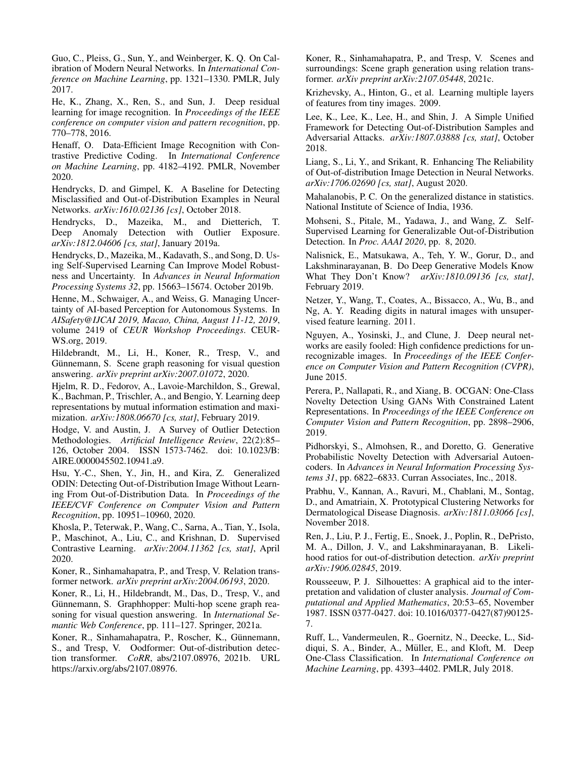Guo, C., Pleiss, G., Sun, Y., and Weinberger, K. Q. On Calibration of Modern Neural Networks. In *International Conference on Machine Learning*, pp. 1321–1330. PMLR, July 2017.

He, K., Zhang, X., Ren, S., and Sun, J. Deep residual learning for image recognition. In *Proceedings of the IEEE conference on computer vision and pattern recognition*, pp. 770–778, 2016.

Henaff, O. Data-Efficient Image Recognition with Contrastive Predictive Coding. In *International Conference on Machine Learning*, pp. 4182–4192. PMLR, November 2020.

Hendrycks, D. and Gimpel, K. A Baseline for Detecting Misclassified and Out-of-Distribution Examples in Neural Networks. *arXiv:1610.02136 [cs]*, October 2018.

Hendrycks, D., Mazeika, M., and Dietterich, T. Deep Anomaly Detection with Outlier Exposure. *arXiv:1812.04606 [cs, stat]*, January 2019a.

Hendrycks, D., Mazeika, M., Kadavath, S., and Song, D. Using Self-Supervised Learning Can Improve Model Robustness and Uncertainty. In *Advances in Neural Information Processing Systems 32*, pp. 15663–15674. October 2019b.

Henne, M., Schwaiger, A., and Weiss, G. Managing Uncertainty of AI-based Perception for Autonomous Systems. In *AISafety@IJCAI 2019, Macao, China, August 11-12, 2019*, volume 2419 of *CEUR Workshop Proceedings*. CEUR-WS.org, 2019.

Hildebrandt, M., Li, H., Koner, R., Tresp, V., and Günnemann, S. Scene graph reasoning for visual question answering. *arXiv preprint arXiv:2007.01072*, 2020.

Hjelm, R. D., Fedorov, A., Lavoie-Marchildon, S., Grewal, K., Bachman, P., Trischler, A., and Bengio, Y. Learning deep representations by mutual information estimation and maximization. *arXiv:1808.06670 [cs, stat]*, February 2019.

Hodge, V. and Austin, J. A Survey of Outlier Detection Methodologies. *Artificial Intelligence Review*, 22(2):85– 126, October 2004. ISSN 1573-7462. doi: 10.1023/B: AIRE.0000045502.10941.a9.

Hsu, Y.-C., Shen, Y., Jin, H., and Kira, Z. Generalized ODIN: Detecting Out-of-Distribution Image Without Learning From Out-of-Distribution Data. In *Proceedings of the IEEE/CVF Conference on Computer Vision and Pattern Recognition*, pp. 10951–10960, 2020.

Khosla, P., Teterwak, P., Wang, C., Sarna, A., Tian, Y., Isola, P., Maschinot, A., Liu, C., and Krishnan, D. Supervised Contrastive Learning. *arXiv:2004.11362 [cs, stat]*, April 2020.

Koner, R., Sinhamahapatra, P., and Tresp, V. Relation transformer network. *arXiv preprint arXiv:2004.06193*, 2020.

Koner, R., Li, H., Hildebrandt, M., Das, D., Tresp, V., and Günnemann, S. Graphhopper: Multi-hop scene graph reasoning for visual question answering. In *International Semantic Web Conference*, pp. 111–127. Springer, 2021a.

Koner, R., Sinhamahapatra, P., Roscher, K., Günnemann, S., and Tresp, V. Oodformer: Out-of-distribution detection transformer. *CoRR*, abs/2107.08976, 2021b. URL https://arxiv.org/abs/2107.08976.

Koner, R., Sinhamahapatra, P., and Tresp, V. Scenes and surroundings: Scene graph generation using relation transformer. *arXiv preprint arXiv:2107.05448*, 2021c.

Krizhevsky, A., Hinton, G., et al. Learning multiple layers of features from tiny images. 2009.

Lee, K., Lee, K., Lee, H., and Shin, J. A Simple Unified Framework for Detecting Out-of-Distribution Samples and Adversarial Attacks. *arXiv:1807.03888 [cs, stat]*, October 2018.

Liang, S., Li, Y., and Srikant, R. Enhancing The Reliability of Out-of-distribution Image Detection in Neural Networks. *arXiv:1706.02690 [cs, stat]*, August 2020.

Mahalanobis, P. C. On the generalized distance in statistics. National Institute of Science of India, 1936.

Mohseni, S., Pitale, M., Yadawa, J., and Wang, Z. Self-Supervised Learning for Generalizable Out-of-Distribution Detection. In *Proc. AAAI 2020*, pp. 8, 2020.

Nalisnick, E., Matsukawa, A., Teh, Y. W., Gorur, D., and Lakshminarayanan, B. Do Deep Generative Models Know What They Don't Know? *arXiv:1810.09136 [cs, stat]*, February 2019.

Netzer, Y., Wang, T., Coates, A., Bissacco, A., Wu, B., and Ng, A. Y. Reading digits in natural images with unsupervised feature learning. 2011.

Nguyen, A., Yosinski, J., and Clune, J. Deep neural networks are easily fooled: High confidence predictions for unrecognizable images. In *Proceedings of the IEEE Conference on Computer Vision and Pattern Recognition (CVPR)*, June 2015.

Perera, P., Nallapati, R., and Xiang, B. OCGAN: One-Class Novelty Detection Using GANs With Constrained Latent Representations. In *Proceedings of the IEEE Conference on Computer Vision and Pattern Recognition*, pp. 2898–2906, 2019.

Pidhorskyi, S., Almohsen, R., and Doretto, G. Generative Probabilistic Novelty Detection with Adversarial Autoencoders. In *Advances in Neural Information Processing Systems 31*, pp. 6822–6833. Curran Associates, Inc., 2018.

Prabhu, V., Kannan, A., Ravuri, M., Chablani, M., Sontag, D., and Amatriain, X. Prototypical Clustering Networks for Dermatological Disease Diagnosis. *arXiv:1811.03066 [cs]*, November 2018.

Ren, J., Liu, P. J., Fertig, E., Snoek, J., Poplin, R., DePristo, M. A., Dillon, J. V., and Lakshminarayanan, B. Likelihood ratios for out-of-distribution detection. *arXiv preprint arXiv:1906.02845*, 2019.

Rousseeuw, P. J. Silhouettes: A graphical aid to the interpretation and validation of cluster analysis. *Journal of Computational and Applied Mathematics*, 20:53–65, November 1987. ISSN 0377-0427. doi: 10.1016/0377-0427(87)90125- 7.

Ruff, L., Vandermeulen, R., Goernitz, N., Deecke, L., Siddiqui, S. A., Binder, A., Müller, E., and Kloft, M. Deep One-Class Classification. In *International Conference on Machine Learning*, pp. 4393–4402. PMLR, July 2018.